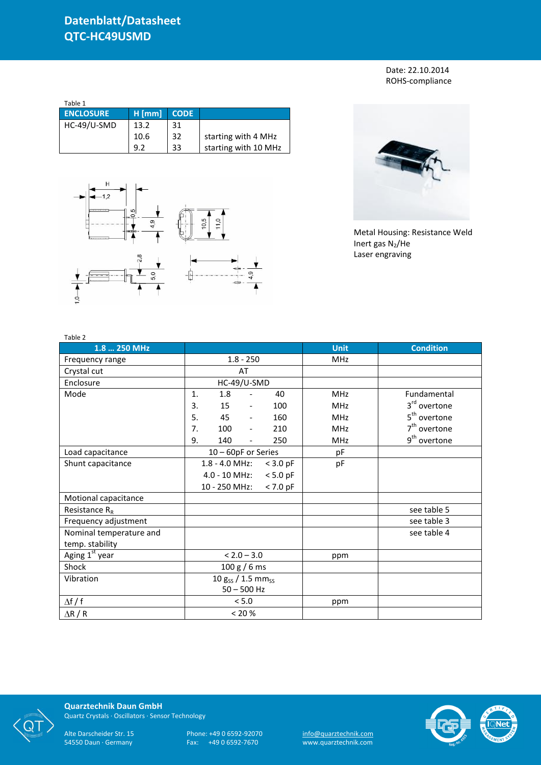Date: 22.10.2014 ROHS-compliance

| Table 1          |          |             |                      |
|------------------|----------|-------------|----------------------|
| <b>ENCLOSURE</b> | $H$ [mm] | <b>CODE</b> |                      |
| HC-49/U-SMD      | 13.2     | 31          |                      |
|                  | 10.6     | 32          | starting with 4 MHz  |
|                  | 92       | 33          | starting with 10 MHz |





Metal Housing: Resistance Weld Inert gas  $N_2$ /He Laser engraving

| Table 2                    |                                              |             |                          |  |  |
|----------------------------|----------------------------------------------|-------------|--------------------------|--|--|
| 1.8  250 MHz               |                                              | <b>Unit</b> | <b>Condition</b>         |  |  |
| Frequency range            | $1.8 - 250$                                  | <b>MHz</b>  |                          |  |  |
| Crystal cut                | AT                                           |             |                          |  |  |
| Enclosure                  | HC-49/U-SMD                                  |             |                          |  |  |
| Mode                       | 1.<br>1.8<br>40<br>$\overline{\phantom{a}}$  | <b>MHz</b>  | Fundamental              |  |  |
|                            | 3.<br>15<br>100<br>$\overline{\phantom{a}}$  | <b>MHz</b>  | 3 <sup>rd</sup> overtone |  |  |
|                            | 5.<br>45<br>160<br>$\overline{\phantom{a}}$  | <b>MHz</b>  | 5 <sup>th</sup> overtone |  |  |
|                            | 7.<br>100<br>210<br>$\overline{\phantom{a}}$ | <b>MHz</b>  | $7th$ overtone           |  |  |
|                            | 9.<br>140<br>250<br>$\overline{\phantom{a}}$ | <b>MHz</b>  | 9 <sup>th</sup> overtone |  |  |
| Load capacitance           | 10 - 60pF or Series                          | pF          |                          |  |  |
| Shunt capacitance          | 1.8 - 4.0 MHz:<br>$<$ 3.0 pF                 | pF          |                          |  |  |
|                            | $4.0 - 10$ MHz:<br>$< 5.0$ pF                |             |                          |  |  |
|                            | $< 7.0$ pF<br>10 - 250 MHz:                  |             |                          |  |  |
| Motional capacitance       |                                              |             |                          |  |  |
| Resistance $R_R$           |                                              |             | see table 5              |  |  |
| Frequency adjustment       |                                              |             | see table 3              |  |  |
| Nominal temperature and    |                                              |             | see table 4              |  |  |
| temp. stability            |                                              |             |                          |  |  |
| Aging 1 <sup>st</sup> year | $< 2.0 - 3.0$                                | ppm         |                          |  |  |
| Shock                      | 100 g / 6 ms                                 |             |                          |  |  |
| Vibration                  | $10 g_{SS} / 1.5 mm_{SS}$                    |             |                          |  |  |
|                            | $50 - 500$ Hz                                |             |                          |  |  |
| $\Delta f / f$             | < 5.0                                        | ppm         |                          |  |  |
| $\Delta$ R / R             | < 20 %                                       |             |                          |  |  |



**Quarztechnik Daun GmbH** Quartz Crystals · Oscillators · Sensor Technology

Alte Darscheider Str. 15 Phone: +49 0 6592-92070 <u>info@quarztechnik.com</u>

54550 Daun · Germany Fax: +49 0 6592-7670 www.quarztechnik.com